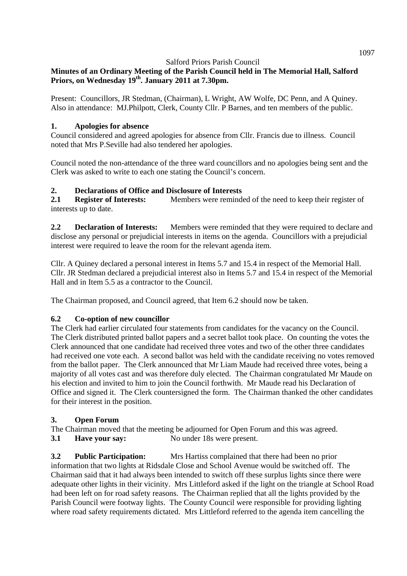# **Minutes of an Ordinary Meeting of the Parish Council held in The Memorial Hall, Salford Priors, on Wednesday 19th. January 2011 at 7.30pm.**

Present: Councillors, JR Stedman, (Chairman), L Wright, AW Wolfe, DC Penn, and A Quiney. Also in attendance: MJ.Philpott, Clerk, County Cllr. P Barnes, and ten members of the public.

## **1. Apologies for absence**

Council considered and agreed apologies for absence from Cllr. Francis due to illness. Council noted that Mrs P.Seville had also tendered her apologies.

Council noted the non-attendance of the three ward councillors and no apologies being sent and the Clerk was asked to write to each one stating the Council's concern.

#### **2. Declarations of Office and Disclosure of Interests**

2.1 **Register of Interests:** Members were reminded of the need to keep their register of interests up to date.

**2.2 Declaration of Interests:** Members were reminded that they were required to declare and disclose any personal or prejudicial interests in items on the agenda. Councillors with a prejudicial interest were required to leave the room for the relevant agenda item.

Cllr. A Quiney declared a personal interest in Items 5.7 and 15.4 in respect of the Memorial Hall. Cllr. JR Stedman declared a prejudicial interest also in Items 5.7 and 15.4 in respect of the Memorial Hall and in Item 5.5 as a contractor to the Council.

The Chairman proposed, and Council agreed, that Item 6.2 should now be taken.

## **6.2 Co-option of new councillor**

The Clerk had earlier circulated four statements from candidates for the vacancy on the Council. The Clerk distributed printed ballot papers and a secret ballot took place. On counting the votes the Clerk announced that one candidate had received three votes and two of the other three candidates had received one vote each. A second ballot was held with the candidate receiving no votes removed from the ballot paper. The Clerk announced that Mr Liam Maude had received three votes, being a majority of all votes cast and was therefore duly elected. The Chairman congratulated Mr Maude on his election and invited to him to join the Council forthwith. Mr Maude read his Declaration of Office and signed it. The Clerk countersigned the form. The Chairman thanked the other candidates for their interest in the position.

## **3. Open Forum**

The Chairman moved that the meeting be adjourned for Open Forum and this was agreed.

**3.1 Have your say:** No under 18s were present.

**3.2 Public Participation:** Mrs Hartiss complained that there had been no prior information that two lights at Ridsdale Close and School Avenue would be switched off. The Chairman said that it had always been intended to switch off these surplus lights since there were adequate other lights in their vicinity. Mrs Littleford asked if the light on the triangle at School Road had been left on for road safety reasons. The Chairman replied that all the lights provided by the Parish Council were footway lights. The County Council were responsible for providing lighting where road safety requirements dictated. Mrs Littleford referred to the agenda item cancelling the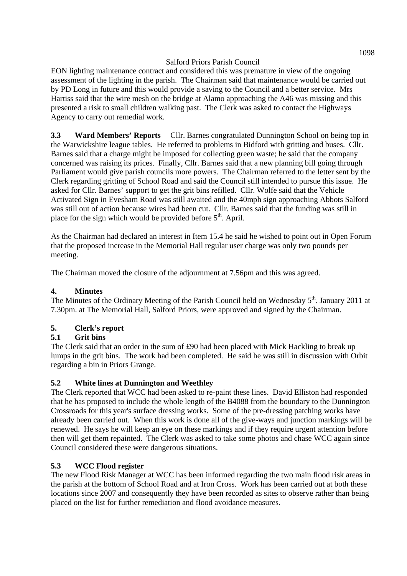EON lighting maintenance contract and considered this was premature in view of the ongoing assessment of the lighting in the parish. The Chairman said that maintenance would be carried out by PD Long in future and this would provide a saving to the Council and a better service. Mrs Hartiss said that the wire mesh on the bridge at Alamo approaching the A46 was missing and this presented a risk to small children walking past. The Clerk was asked to contact the Highways Agency to carry out remedial work.

**3.3 Ward Members' Reports** Cllr. Barnes congratulated Dunnington School on being top in the Warwickshire league tables. He referred to problems in Bidford with gritting and buses. Cllr. Barnes said that a charge might be imposed for collecting green waste; he said that the company concerned was raising its prices. Finally, Cllr. Barnes said that a new planning bill going through Parliament would give parish councils more powers. The Chairman referred to the letter sent by the Clerk regarding gritting of School Road and said the Council still intended to pursue this issue. He asked for Cllr. Barnes' support to get the grit bins refilled. Cllr. Wolfe said that the Vehicle Activated Sign in Evesham Road was still awaited and the 40mph sign approaching Abbots Salford was still out of action because wires had been cut. Cllr. Barnes said that the funding was still in place for the sign which would be provided before  $5<sup>th</sup>$ . April.

As the Chairman had declared an interest in Item 15.4 he said he wished to point out in Open Forum that the proposed increase in the Memorial Hall regular user charge was only two pounds per meeting.

The Chairman moved the closure of the adjournment at 7.56pm and this was agreed.

## **4. Minutes**

The Minutes of the Ordinary Meeting of the Parish Council held on Wednesday 5<sup>th</sup>. January 2011 at 7.30pm. at The Memorial Hall, Salford Priors, were approved and signed by the Chairman.

## **5. Clerk's report**

## **5.1 Grit bins**

The Clerk said that an order in the sum of £90 had been placed with Mick Hackling to break up lumps in the grit bins. The work had been completed. He said he was still in discussion with Orbit regarding a bin in Priors Grange.

#### **5.2 White lines at Dunnington and Weethley**

The Clerk reported that WCC had been asked to re-paint these lines. David Elliston had responded that he has proposed to include the whole length of the B4088 from the boundary to the Dunnington Crossroads for this year's surface dressing works. Some of the pre-dressing patching works have already been carried out. When this work is done all of the give-ways and junction markings will be renewed. He says he will keep an eye on these markings and if they require urgent attention before then will get them repainted. The Clerk was asked to take some photos and chase WCC again since Council considered these were dangerous situations.

## **5.3 WCC Flood register**

The new Flood Risk Manager at WCC has been informed regarding the two main flood risk areas in the parish at the bottom of School Road and at Iron Cross. Work has been carried out at both these locations since 2007 and consequently they have been recorded as sites to observe rather than being placed on the list for further remediation and flood avoidance measures.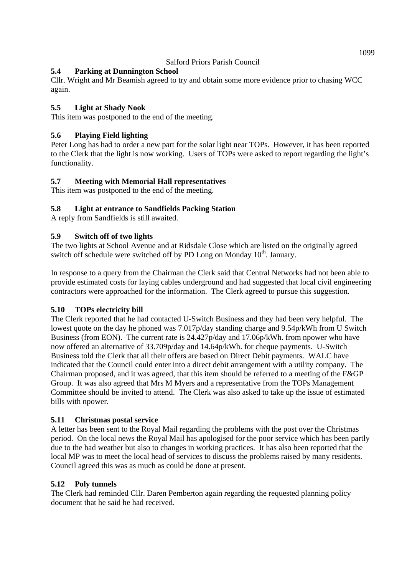## **5.4 Parking at Dunnington School**

Cllr. Wright and Mr Beamish agreed to try and obtain some more evidence prior to chasing WCC again.

## **5.5 Light at Shady Nook**

This item was postponed to the end of the meeting.

# **5.6 Playing Field lighting**

Peter Long has had to order a new part for the solar light near TOPs. However, it has been reported to the Clerk that the light is now working. Users of TOPs were asked to report regarding the light's functionality.

## **5.7 Meeting with Memorial Hall representatives**

This item was postponed to the end of the meeting.

## **5.8 Light at entrance to Sandfields Packing Station**

A reply from Sandfields is still awaited.

## **5.9 Switch off of two lights**

The two lights at School Avenue and at Ridsdale Close which are listed on the originally agreed switch off schedule were switched off by PD Long on Monday  $10<sup>th</sup>$ . January.

In response to a query from the Chairman the Clerk said that Central Networks had not been able to provide estimated costs for laying cables underground and had suggested that local civil engineering contractors were approached for the information. The Clerk agreed to pursue this suggestion.

## **5.10 TOPs electricity bill**

The Clerk reported that he had contacted U-Switch Business and they had been very helpful. The lowest quote on the day he phoned was 7.017p/day standing charge and 9.54p/kWh from U Switch Business (from EON). The current rate is 24.427p/day and 17.06p/kWh. from npower who have now offered an alternative of 33.709p/day and 14.64p/kWh. for cheque payments. U-Switch Business told the Clerk that all their offers are based on Direct Debit payments. WALC have indicated that the Council could enter into a direct debit arrangement with a utility company. The Chairman proposed, and it was agreed, that this item should be referred to a meeting of the F&GP Group. It was also agreed that Mrs M Myers and a representative from the TOPs Management Committee should be invited to attend. The Clerk was also asked to take up the issue of estimated bills with npower.

## **5.11 Christmas postal service**

A letter has been sent to the Royal Mail regarding the problems with the post over the Christmas period. On the local news the Royal Mail has apologised for the poor service which has been partly due to the bad weather but also to changes in working practices. It has also been reported that the local MP was to meet the local head of services to discuss the problems raised by many residents. Council agreed this was as much as could be done at present.

## **5.12 Poly tunnels**

The Clerk had reminded Cllr. Daren Pemberton again regarding the requested planning policy document that he said he had received.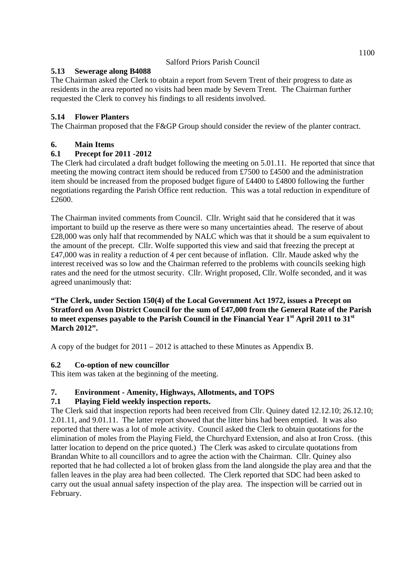## **5.13 Sewerage along B4088**

The Chairman asked the Clerk to obtain a report from Severn Trent of their progress to date as residents in the area reported no visits had been made by Severn Trent. The Chairman further requested the Clerk to convey his findings to all residents involved.

## **5.14 Flower Planters**

The Chairman proposed that the F&GP Group should consider the review of the planter contract.

# **6. Main Items**

## **6.1 Precept for 2011 -2012**

The Clerk had circulated a draft budget following the meeting on 5.01.11. He reported that since that meeting the mowing contract item should be reduced from £7500 to £4500 and the administration item should be increased from the proposed budget figure of £4400 to £4800 following the further negotiations regarding the Parish Office rent reduction. This was a total reduction in expenditure of £2600.

The Chairman invited comments from Council. Cllr. Wright said that he considered that it was important to build up the reserve as there were so many uncertainties ahead. The reserve of about £28,000 was only half that recommended by NALC which was that it should be a sum equivalent to the amount of the precept. Cllr. Wolfe supported this view and said that freezing the precept at £47,000 was in reality a reduction of 4 per cent because of inflation. Cllr. Maude asked why the interest received was so low and the Chairman referred to the problems with councils seeking high rates and the need for the utmost security. Cllr. Wright proposed, Cllr. Wolfe seconded, and it was agreed unanimously that:

#### **"The Clerk, under Section 150(4) of the Local Government Act 1972, issues a Precept on Stratford on Avon District Council for the sum of £47,000 from the General Rate of the Parish to meet expenses payable to the Parish Council in the Financial Year 1st April 2011 to 31st March 2012".**

A copy of the budget for 2011 – 2012 is attached to these Minutes as Appendix B.

# **6.2 Co-option of new councillor**

This item was taken at the beginning of the meeting.

## **7. Environment - Amenity, Highways, Allotments, and TOPS**

## **7.1 Playing Field weekly inspection reports.**

The Clerk said that inspection reports had been received from Cllr. Quiney dated 12.12.10; 26.12.10; 2.01.11, and 9.01.11. The latter report showed that the litter bins had been emptied. It was also reported that there was a lot of mole activity. Council asked the Clerk to obtain quotations for the elimination of moles from the Playing Field, the Churchyard Extension, and also at Iron Cross. (this latter location to depend on the price quoted.) The Clerk was asked to circulate quotations from Brandan White to all councillors and to agree the action with the Chairman. Cllr. Quiney also reported that he had collected a lot of broken glass from the land alongside the play area and that the fallen leaves in the play area had been collected. The Clerk reported that SDC had been asked to carry out the usual annual safety inspection of the play area. The inspection will be carried out in February.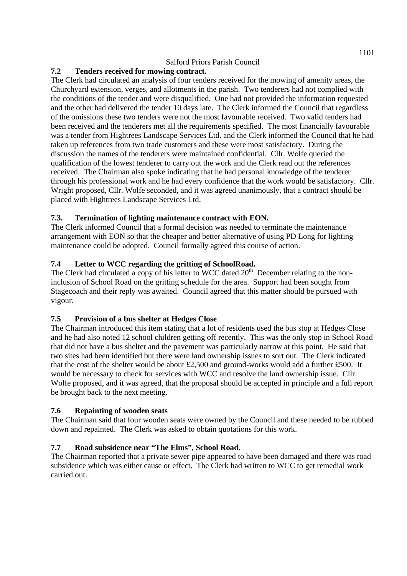## **7.2 Tenders received for mowing contract.**

The Clerk had circulated an analysis of four tenders received for the mowing of amenity areas, the Churchyard extension, verges, and allotments in the parish. Two tenderers had not complied with the conditions of the tender and were disqualified. One had not provided the information requested and the other had delivered the tender 10 days late. The Clerk informed the Council that regardless of the omissions these two tenders were not the most favourable received. Two valid tenders had been received and the tenderers met all the requirements specified. The most financially favourable was a tender from Hightrees Landscape Services Ltd. and the Clerk informed the Council that he had taken up references from two trade customers and these were most satisfactory. During the discussion the names of the tenderers were maintained confidential. Cllr. Wolfe queried the qualification of the lowest tenderer to carry out the work and the Clerk read out the references received. The Chairman also spoke indicating that he had personal knowledge of the tenderer through his professional work and he had every confidence that the work would be satisfactory. Cllr. Wright proposed, Cllr. Wolfe seconded, and it was agreed unanimously, that a contract should be placed with Hightrees Landscape Services Ltd.

## **7.3. Termination of lighting maintenance contract with EON.**

The Clerk informed Council that a formal decision was needed to terminate the maintenance arrangement with EON so that the cheaper and better alternative of using PD Long for lighting maintenance could be adopted. Council formally agreed this course of action.

## **7.4 Letter to WCC regarding the gritting of SchoolRoad.**

The Clerk had circulated a copy of his letter to WCC dated  $20<sup>th</sup>$ . December relating to the noninclusion of School Road on the gritting schedule for the area. Support had been sought from Stagecoach and their reply was awaited. Council agreed that this matter should be pursued with vigour.

## **7.5 Provision of a bus shelter at Hedges Close**

The Chairman introduced this item stating that a lot of residents used the bus stop at Hedges Close and he had also noted 12 school children getting off recently. This was the only stop in School Road that did not have a bus shelter and the pavement was particularly narrow at this point. He said that two sites had been identified but there were land ownership issues to sort out. The Clerk indicated that the cost of the shelter would be about £2,500 and ground-works would add a further £500. It would be necessary to check for services with WCC and resolve the land ownership issue. Cllr. Wolfe proposed, and it was agreed, that the proposal should be accepted in principle and a full report be brought back to the next meeting.

## **7.6 Repainting of wooden seats**

The Chairman said that four wooden seats were owned by the Council and these needed to be rubbed down and repainted. The Clerk was asked to obtain quotations for this work.

# **7.7 Road subsidence near "The Elms", School Road.**

The Chairman reported that a private sewer pipe appeared to have been damaged and there was road subsidence which was either cause or effect. The Clerk had written to WCC to get remedial work carried out.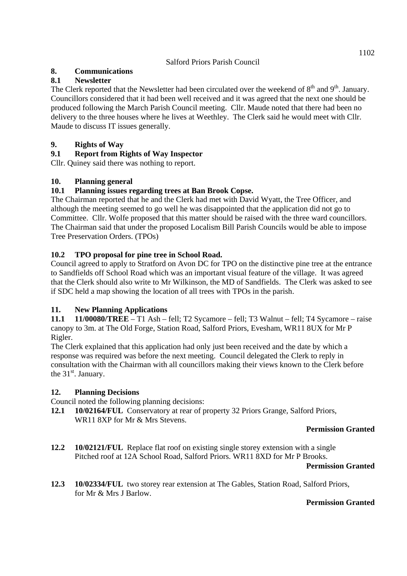# **8. Communications**

## **8.1 Newsletter**

The Clerk reported that the Newsletter had been circulated over the weekend of  $8<sup>th</sup>$  and  $9<sup>th</sup>$ . January. Councillors considered that it had been well received and it was agreed that the next one should be produced following the March Parish Council meeting. Cllr. Maude noted that there had been no delivery to the three houses where he lives at Weethley. The Clerk said he would meet with Cllr. Maude to discuss IT issues generally.

## **9. Rights of Way**

# **9.1 Report from Rights of Way Inspector**

Cllr. Quiney said there was nothing to report.

## **10. Planning general**

## **10.1 Planning issues regarding trees at Ban Brook Copse.**

The Chairman reported that he and the Clerk had met with David Wyatt, the Tree Officer, and although the meeting seemed to go well he was disappointed that the application did not go to Committee. Cllr. Wolfe proposed that this matter should be raised with the three ward councillors. The Chairman said that under the proposed Localism Bill Parish Councils would be able to impose Tree Preservation Orders. (TPOs)

## **10.2 TPO proposal for pine tree in School Road.**

Council agreed to apply to Stratford on Avon DC for TPO on the distinctive pine tree at the entrance to Sandfields off School Road which was an important visual feature of the village. It was agreed that the Clerk should also write to Mr Wilkinson, the MD of Sandfields. The Clerk was asked to see if SDC held a map showing the location of all trees with TPOs in the parish.

## **11. New Planning Applications**

**11.1 11/00080/TREE** – T1 Ash – fell; T2 Sycamore – fell; T3 Walnut – fell; T4 Sycamore – raise canopy to 3m. at The Old Forge, Station Road, Salford Priors, Evesham, WR11 8UX for Mr P Rigler.

The Clerk explained that this application had only just been received and the date by which a response was required was before the next meeting. Council delegated the Clerk to reply in consultation with the Chairman with all councillors making their views known to the Clerk before the  $31<sup>st</sup>$ . January.

## **12. Planning Decisions**

Council noted the following planning decisions:

**12.1 10/02164/FUL** Conservatory at rear of property 32 Priors Grange, Salford Priors, WR11 8XP for Mr & Mrs Stevens.

## **Permission Granted**

**12.2 10/02121/FUL** Replace flat roof on existing single storey extension with a single Pitched roof at 12A School Road, Salford Priors. WR11 8XD for Mr P Brooks.

#### **Permission Granted**

**12.3 10/02334/FUL** two storey rear extension at The Gables, Station Road, Salford Priors, for Mr & Mrs J Barlow.

## **Permission Granted**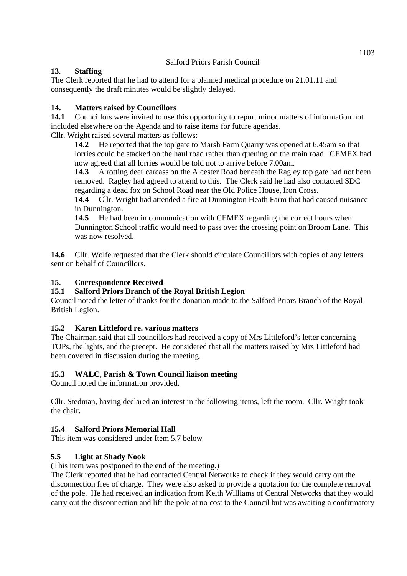## **13. Staffing**

The Clerk reported that he had to attend for a planned medical procedure on 21.01.11 and consequently the draft minutes would be slightly delayed.

# **14. Matters raised by Councillors**

**14.1** Councillors were invited to use this opportunity to report minor matters of information not included elsewhere on the Agenda and to raise items for future agendas.

Cllr. Wright raised several matters as follows:

**14.2** He reported that the top gate to Marsh Farm Quarry was opened at 6.45am so that lorries could be stacked on the haul road rather than queuing on the main road. CEMEX had now agreed that all lorries would be told not to arrive before 7.00am.

**14.3** A rotting deer carcass on the Alcester Road beneath the Ragley top gate had not been removed. Ragley had agreed to attend to this. The Clerk said he had also contacted SDC regarding a dead fox on School Road near the Old Police House, Iron Cross.

**14.4** Cllr. Wright had attended a fire at Dunnington Heath Farm that had caused nuisance in Dunnington.

**14.5** He had been in communication with CEMEX regarding the correct hours when Dunnington School traffic would need to pass over the crossing point on Broom Lane. This was now resolved.

14.6 Cllr. Wolfe requested that the Clerk should circulate Councillors with copies of any letters sent on behalf of Councillors.

## **15. Correspondence Received**

# **15.1 Salford Priors Branch of the Royal British Legion**

Council noted the letter of thanks for the donation made to the Salford Priors Branch of the Royal British Legion.

## **15.2 Karen Littleford re. various matters**

The Chairman said that all councillors had received a copy of Mrs Littleford's letter concerning TOPs, the lights, and the precept. He considered that all the matters raised by Mrs Littleford had been covered in discussion during the meeting.

# **15.3 WALC, Parish & Town Council liaison meeting**

Council noted the information provided.

Cllr. Stedman, having declared an interest in the following items, left the room. Cllr. Wright took the chair.

## **15.4 Salford Priors Memorial Hall**

This item was considered under Item 5.7 below

## **5.5 Light at Shady Nook**

(This item was postponed to the end of the meeting.)

The Clerk reported that he had contacted Central Networks to check if they would carry out the disconnection free of charge. They were also asked to provide a quotation for the complete removal of the pole. He had received an indication from Keith Williams of Central Networks that they would carry out the disconnection and lift the pole at no cost to the Council but was awaiting a confirmatory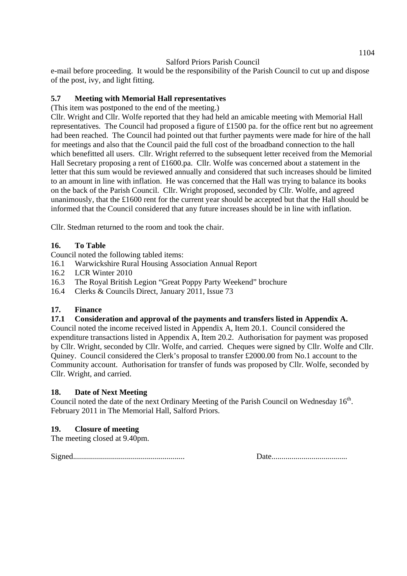e-mail before proceeding. It would be the responsibility of the Parish Council to cut up and dispose of the post, ivy, and light fitting.

## **5.7 Meeting with Memorial Hall representatives**

(This item was postponed to the end of the meeting.)

Cllr. Wright and Cllr. Wolfe reported that they had held an amicable meeting with Memorial Hall representatives. The Council had proposed a figure of £1500 pa. for the office rent but no agreement had been reached. The Council had pointed out that further payments were made for hire of the hall for meetings and also that the Council paid the full cost of the broadband connection to the hall which benefitted all users. Cllr. Wright referred to the subsequent letter received from the Memorial Hall Secretary proposing a rent of £1600.pa. Cllr. Wolfe was concerned about a statement in the letter that this sum would be reviewed annually and considered that such increases should be limited to an amount in line with inflation. He was concerned that the Hall was trying to balance its books on the back of the Parish Council. Cllr. Wright proposed, seconded by Cllr. Wolfe, and agreed unanimously, that the £1600 rent for the current year should be accepted but that the Hall should be informed that the Council considered that any future increases should be in line with inflation.

Cllr. Stedman returned to the room and took the chair.

## **16. To Table**

Council noted the following tabled items:

- 16.1 Warwickshire Rural Housing Association Annual Report
- 16.2 LCR Winter 2010
- 16.3 The Royal British Legion "Great Poppy Party Weekend" brochure
- 16.4 Clerks & Councils Direct, January 2011, Issue 73

## **17. Finance**

#### **17.1 Consideration and approval of the payments and transfers listed in Appendix A.**

Council noted the income received listed in Appendix A, Item 20.1. Council considered the expenditure transactions listed in Appendix A, Item 20.2. Authorisation for payment was proposed by Cllr. Wright, seconded by Cllr. Wolfe, and carried. Cheques were signed by Cllr. Wolfe and Cllr. Quiney. Council considered the Clerk's proposal to transfer £2000.00 from No.1 account to the Community account. Authorisation for transfer of funds was proposed by Cllr. Wolfe, seconded by Cllr. Wright, and carried.

## **18. Date of Next Meeting**

Council noted the date of the next Ordinary Meeting of the Parish Council on Wednesday 16<sup>th</sup>. February 2011 in The Memorial Hall, Salford Priors.

## **19. Closure of meeting**

The meeting closed at 9.40pm.

Signed........................................................ Date......................................